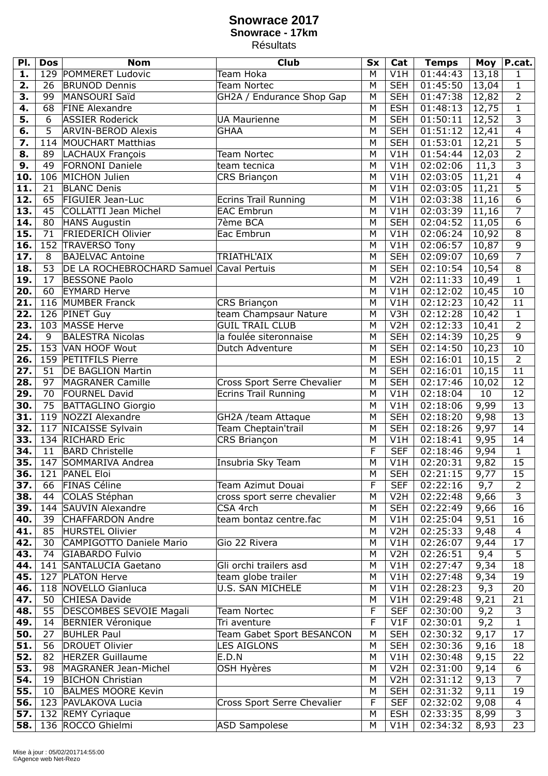## **Snowrace 2017 Snowrace - 17km** Résultats

| PI.               | <b>Dos</b>     | <b>Nom</b>                               | <b>Club</b>                 | <b>Sx</b> | Cat              | <b>Temps</b> | <b>Moy</b> | P.cat.                                    |
|-------------------|----------------|------------------------------------------|-----------------------------|-----------|------------------|--------------|------------|-------------------------------------------|
| 1.                |                | 129 POMMERET Ludovic                     | Team Hoka                   | M         | V1H              | 01:44:43     | 13,18      | 1                                         |
| 2.                | 26             | <b>BRUNOD Dennis</b>                     | Team Nortec                 | M         | <b>SEH</b>       | 01:45:50     | 13,04      | $\mathbf 1$                               |
| 3.                | 99             | MANSOURI Saïd                            | GH2A / Endurance Shop Gap   | M         | <b>SEH</b>       | 01:47:38     | 12,82      | $\overline{2}$                            |
| 4.                | 68             | <b>FINE Alexandre</b>                    |                             | M         | <b>ESH</b>       | 01:48:13     | 12,75      | $\overline{1}$                            |
| 5.                | 6              | <b>ASSIER Roderick</b>                   | <b>UA Maurienne</b>         | M         | <b>SEH</b>       | 01:50:11     | 12,52      | $\overline{3}$                            |
| 6.                | $\overline{5}$ | <b>ARVIN-BEROD Alexis</b>                | <b>GHAA</b>                 | M         | <b>SEH</b>       | 01:51:12     | 12,41      | $\overline{4}$                            |
| 7.                |                | 114 MOUCHART Matthias                    |                             | M         | <b>SEH</b>       | 01:53:01     | 12,21      | $\overline{5}$                            |
| 8.                | 89             | <b>LACHAUX François</b>                  | Team Nortec                 | M         | V1H              | 01:54:44     | 12,03      | $\overline{2}$                            |
| 9.                | 49             | <b>FORNONI Daniele</b>                   | team tecnica                | M         | V1H              | 02:02:06     | 11,3       | $\overline{3}$                            |
| 10.               |                | 106 MICHON Julien                        | CRS Briançon                | M         | V1H              | 02:03:05     | 11,21      | $\overline{4}$                            |
| 11.               | 21             | <b>BLANC Denis</b>                       |                             | M         | V1H              | 02:03:05     | 11,21      | $\overline{5}$                            |
| 12.               | 65             | <b>FIGUIER Jean-Luc</b>                  | <b>Ecrins Trail Running</b> | M         | V1H              | 02:03:38     | 11,16      | $\overline{6}$                            |
| 13.               | 45             | <b>COLLATTI Jean Michel</b>              | <b>EAC Embrun</b>           | M         | V1H              | 02:03:39     | 11,16      | $\overline{7}$                            |
| 14.               | 80             | <b>HANS Augustin</b>                     | 7ème BCA                    | M         | <b>SEH</b>       | 02:04:52     | 11,05      | $\overline{6}$                            |
| 15.               | 71             | <b>FRIEDERICH Olivier</b>                | Eac Embrun                  | M         | V1H              | 02:06:24     | 10,92      | $\overline{8}$                            |
| 16.               | 152            | <b>TRAVERSO Tony</b>                     |                             | M         | V1H              | 02:06:57     | 10,87      | $\overline{9}$                            |
| 17.               | 8              | <b>BAJELVAC Antoine</b>                  | TRIATHL'AIX                 | M         | <b>SEH</b>       | 02:09:07     | 10,69      | $\overline{7}$                            |
|                   |                | DE LA ROCHEBROCHARD Samuel Caval Pertuis |                             |           |                  |              |            | $\overline{8}$                            |
| $\overline{18}$ . | 53             |                                          |                             | M         | <b>SEH</b>       | 02:10:54     | 10,54      | $\overline{1}$                            |
| 19.               | 17             | <b>BESSONE Paolo</b>                     |                             | M         | V <sub>2</sub> H | 02:11:33     | 10,49      |                                           |
| 20.               | 60             | <b>EYMARD Herve</b><br>116 MUMBER Franck |                             | M<br>M    | V1H<br>V1H       | 02:12:02     | 10,45      | 10                                        |
| 21.               |                |                                          | CRS Briançon                |           |                  | 02:12:23     | 10,42      | 11                                        |
| $\overline{22}$ . |                | 126 PINET Guy<br>103 MASSE Herve         | team Champsaur Nature       | M         | V3H              | 02:12:28     | 10,42      | $\mathbf 1$                               |
| $\overline{23}$ . |                |                                          | <b>GUIL TRAIL CLUB</b>      | M         | V2H              | 02:12:33     | 10,41      | $\overline{2}$                            |
| 24.               | 9              | <b>BALESTRA Nicolas</b>                  | la foulée siteronnaise      | M         | <b>SEH</b>       | 02:14:39     | 10,25      | $\overline{9}$                            |
| 25.               |                | 153 VAN HOOF Wout                        | Dutch Adventure             | M         | <b>SEH</b>       | 02:14:50     | 10,23      | 10                                        |
| 26.               |                | 159 PETITFILS Pierre                     |                             | M         | <b>ESH</b>       | 02:16:01     | 10,15      | $\overline{2}$                            |
| 27.               | 51             | <b>DE BAGLION Martin</b>                 |                             | M         | <b>SEH</b>       | 02:16:01     | 10,15      | $\overline{11}$                           |
| 28.               | 97             | <b>MAGRANER Camille</b>                  | Cross Sport Serre Chevalier | M         | <b>SEH</b>       | 02:17:46     | 10,02      | 12                                        |
| 29.               | 70             | <b>FOURNEL David</b>                     | Ecrins Trail Running        | M         | V1H              | 02:18:04     | 10         | 12                                        |
| 30.               | 75             | <b>BATTAGLINO Giorgio</b>                |                             | M         | V1H              | 02:18:06     | 9,99       | 13                                        |
| 31.               |                | 119 NOZZI Alexandre                      | GH2A /team Attaque          | M         | <b>SEH</b>       | 02:18:20     | 9,98       | 13                                        |
| 32.               |                | 117 NICAISSE Sylvain                     | Team Cheptain'trail         | M         | <b>SEH</b>       | 02:18:26     | 9,97       | 14                                        |
| 33.               |                | 134 RICHARD Eric                         | CRS Briançon                | M         | V1H              | 02:18:41     | 9,95       | 14                                        |
| 34.               | 11             | <b>BARD Christelle</b>                   |                             | F         | <b>SEF</b>       | 02:18:46     | 9,94       | $\mathbf{1}$                              |
| 35.               |                | 147 SOMMARIVA Andrea                     | Insubria Sky Team           | M         | V1H              | 02:20:31     | 9,82       | $\overline{15}$                           |
| 36.               |                | 121 PANEL Eloi                           |                             | M         | <b>SEH</b>       | 02:21:15     | 9,77       | 15                                        |
| 37.               | 66             | <b>FINAS Céline</b>                      | Team Azimut Douai           | F         | <b>SEF</b>       | 02:22:16     | 9,7        | $\overline{2}$                            |
| 38.               | 44             | COLAS Stéphan                            | cross sport serre chevalier | M         | V <sub>2</sub> H | 02:22:48     | 9,66       | $\overline{3}$                            |
| 39.               |                | 144 SAUVIN Alexandre                     | CSA 4rch                    | M         | <b>SEH</b>       | 02:22:49     | 9,66       | 16                                        |
| 40.               | 39             | <b>CHAFFARDON Andre</b>                  | team bontaz centre.fac      | M         | V1H              | 02:25:04     | 9,51       | 16                                        |
| 41.               | 85             | <b>HURSTEL Olivier</b>                   |                             | M         | V <sub>2</sub> H | 02:25:33     | 9,48       | $\overline{4}$                            |
| 42.               | 30             | CAMPIGOTTO Daniele Mario                 | Gio 22 Rivera               | M         | V1H              | 02:26:07     | 9,44       | 17                                        |
| 43.               | 74             | GIABARDO Fulvio                          |                             | M         | V <sub>2</sub> H | 02:26:51     | 9,4        | $\overline{5}$                            |
| 44.               |                | 141 SANTALUCIA Gaetano                   | Gli orchi trailers asd      | M         | V1H              | 02:27:47     | 9,34       | 18                                        |
| 45.               |                | 127 PLATON Herve                         | team globe trailer          | M         | V1H              | 02:27:48     | 9,34       | 19                                        |
| 46.               |                | 118 NOVELLO Gianluca                     | U.S. SAN MICHELE            | M         | V1H              | 02:28:23     | 9,3        | 20                                        |
| 47.               | 50             | CHIESA Davide                            |                             | M         | V1H              | 02:29:48     | 9,21       | 21                                        |
| 48.               | 55             | DESCOMBES SEVOIE Magali                  | Team Nortec                 | F         | <b>SEF</b>       | 02:30:00     | 9,2        | 3                                         |
| 49.               | 14             | <b>BERNIER Véronique</b>                 | Tri aventure                | F         | V1F              | 02:30:01     | 9,2        | $\mathbf{1}$                              |
| 50.               | 27             | <b>BUHLER Paul</b>                       | Team Gabet Sport BESANCON   | M         | <b>SEH</b>       | 02:30:32     | 9,17       | 17                                        |
| 51.               | 56             | <b>DROUET Olivier</b>                    | <b>LES AIGLONS</b>          | M         | <b>SEH</b>       | 02:30:36     | 9,16       | 18                                        |
| 52.               | 82             | <b>HERZER Guillaume</b>                  | E.D.N                       | M         | V1H              | 02:30:48     | 9,15       | 22                                        |
| 53.               | 98             | MAGRANER Jean-Michel                     | OSH Hyères                  | M         | V <sub>2</sub> H | 02:31:00     | 9,14       | 6                                         |
| 54.               | 19             | <b>BICHON Christian</b>                  |                             | M         | V <sub>2</sub> H | 02:31:12     | 9,13       | $\overline{7}$                            |
| 55.               | 10             | <b>BALMES MOORE Kevin</b>                |                             | M         | <b>SEH</b>       | 02:31:32     | 9,11       | 19                                        |
| 56.               |                | 123 PAVLAKOVA Lucia                      | Cross Sport Serre Chevalier | F         | <b>SEF</b>       | 02:32:02     | 9,08       | $\overline{\mathbf{4}}$<br>$\overline{3}$ |
| 57.               |                | 132 REMY Cyriaque                        |                             | M         | <b>ESH</b>       | 02:33:35     | 8,99       |                                           |
| 58.               |                | 136 ROCCO Ghielmi                        | ASD Sampolese               | M         | V1H              | 02:34:32     | 8,93       | $\overline{23}$                           |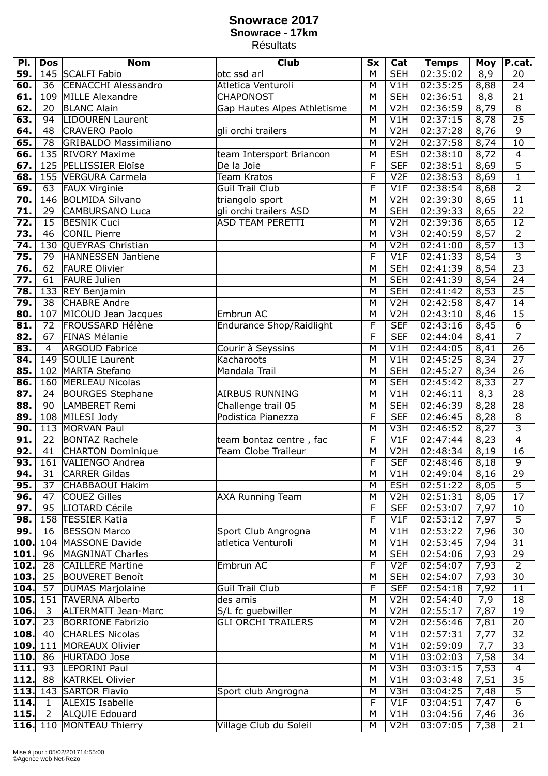## **Snowrace 2017 Snowrace - 17km** Résultats

| PI.                | <b>Dos</b>     | <b>Nom</b>                   | <b>Club</b>                     | <b>Sx</b> | Cat               | <b>Temps</b>         | <b>Moy</b>   | P.cat.          |
|--------------------|----------------|------------------------------|---------------------------------|-----------|-------------------|----------------------|--------------|-----------------|
| 59.                |                | 145 SCALFI Fabio             | otc ssd arl                     | M         | <b>SEH</b>        | 02:35:02             | 8,9          | 20              |
| 60.                | 36             | <b>CENACCHI Alessandro</b>   | Atletica Venturoli              | M         | V1H               | 02:35:25             | 8,88         | 24              |
| 61.                |                | 109 MILLE Alexandre          | <b>CHAPONOST</b>                | M         | <b>SEH</b>        | 02:36:51             | 8,8          | 21              |
| 62.                | 20             | <b>BLANC Alain</b>           | Gap Hautes Alpes Athletisme     | M         | V <sub>2</sub> H  | 02:36:59             | 8,79         | 8               |
| 63.                | 94             | <b>LIDOUREN Laurent</b>      |                                 | M         | V1H               | 02:37:15             | 8,78         | $\overline{25}$ |
| 64.                | 48             | <b>CRAVERO Paolo</b>         | gli orchi trailers              | M         | V <sub>2</sub> H  | 02:37:28             | 8,76         | 9               |
| 65.                | 78             | <b>GRIBALDO Massimiliano</b> |                                 | M         | V <sub>2</sub> H  | 02:37:58             | 8,74         | $\overline{10}$ |
| 66.                |                | 135 RIVORY Maxime            | team Intersport Briancon        | M         | <b>ESH</b>        | 02:38:10             | 8,72         | 4               |
| 67.                |                | 125 PELLISSIER Eloïse        | De la Joie                      | F         | <b>SEF</b>        | 02:38:51             | 8,69         | $\overline{5}$  |
| 68.                |                | 155 VERGURA Carmela          | Team Kratos                     | F         | V <sub>2F</sub>   | 02:38:53             | 8,69         | $\overline{1}$  |
| 69.                | 63             | <b>FAUX Virginie</b>         | Guil Trail Club                 | F         | V1F               | 02:38:54             | 8,68         | $\overline{2}$  |
| 70.                |                | 146 BOLMIDA Silvano          | triangolo sport                 | M         | V <sub>2</sub> H  | 02:39:30             | 8,65         | 11              |
| 71.                | 29             | <b>CAMBURSANO Luca</b>       | gli orchi trailers ASD          | M         | <b>SEH</b>        | 02:39:33             | 8,65         | $\overline{22}$ |
| $\overline{72}$ .  | 15             | <b>BESNIK Cuci</b>           | <b>ASD TEAM PERETTI</b>         | M         | V <sub>2</sub> H  | 02:39:36             | 8,65         | 12              |
| $\overline{73}$ .  | 46             | <b>CONIL Pierre</b>          |                                 | M         | V3H               | 02:40:59             | 8,57         | $\overline{2}$  |
| 74.                |                | 130 QUEYRAS Christian        |                                 | M         | V <sub>2</sub> H  | 02:41:00             | 8,57         | 13              |
| 75.                | 79             | HANNESSEN Jantiene           |                                 | F         | V1F               | 02:41:33             | 8,54         | $\overline{3}$  |
| 76.                | 62             | <b>FAURE Olivier</b>         |                                 | M         | <b>SEH</b>        | 02:41:39             | 8,54         | $\overline{23}$ |
| 77.                | 61             | <b>FAURE Julien</b>          |                                 | M         | <b>SEH</b>        | 02:41:39             | 8,54         | $\overline{24}$ |
| 78.                |                | 133 REY Benjamin             |                                 | M         | <b>SEH</b>        | 02:41:42             | 8,53         | $\overline{25}$ |
| 79.                |                | 38 CHABRE Andre              |                                 | M         | V <sub>2</sub> H  | 02:42:58             | 8,47         | 14              |
| 80.                |                | 107 MICOUD Jean Jacques      | Embrun AC                       | M         | V <sub>2</sub> H  | 02:43:10             | 8,46         | $\overline{15}$ |
| 81.                |                | 72 FROUSSARD Hélène          | <b>Endurance Shop/Raidlight</b> | F         | <b>SEF</b>        | 02:43:16             | 8,45         | $\overline{6}$  |
|                    |                | <b>FINAS Mélanie</b>         |                                 | F         |                   |                      |              | $\overline{7}$  |
| 82.<br>83.         | 67<br>4        | <b>ARGOUD Fabrice</b>        |                                 | M         | <b>SEF</b><br>V1H | 02:44:04<br>02:44:05 | 8,41         | $\overline{26}$ |
| 84.                |                | 149 SOULIE Laurent           | Courir à Seyssins<br>Kacharoots | M         | V1H               | 02:45:25             | 8,41<br>8,34 | 27              |
| 85.                |                | 102 MARTA Stefano            | Mandala Trail                   | M         | <b>SEH</b>        | 02:45:27             |              | $\overline{26}$ |
| 86.                |                | 160 MERLEAU Nicolas          |                                 | M         | <b>SEH</b>        | 02:45:42             | 8,34<br>8,33 | $\overline{27}$ |
| 87.                | 24             | <b>BOURGES</b> Stephane      | AIRBUS RUNNING                  | M         | V1H               | 02:46:11             | 8,3          | 28              |
| 88.                | 90             | <b>LAMBERET Remi</b>         | Challenge trail 05              | M         | <b>SEH</b>        | 02:46:39             | 8,28         | $\overline{28}$ |
| 89.                |                | 108 MILESI Jody              | Podistica Pianezza              | F         | <b>SEF</b>        | 02:46:45             | 8,28         | $\overline{8}$  |
| 90.                |                | 113 MORVAN Paul              |                                 | M         | V3H               | 02:46:52             | 8,27         | $\overline{3}$  |
| 91.                | 22             | <b>BONTAZ Rachele</b>        | team bontaz centre, fac         | F         | V1F               | 02:47:44             | 8,23         | $\overline{4}$  |
| 92.                | 41             | CHARTON Dominique            | Team Clobe Traileur             | M         | V <sub>2</sub> H  | 02:48:34             | 8,19         | $\overline{16}$ |
| 93.                |                | 161 VALIENGO Andrea          |                                 | F         | <b>SEF</b>        | 02:48:46             | 8,18         | 9               |
| 94.                | 31             | <b>CARRER Gildas</b>         |                                 | M         | V1H               | 02:49:04             | 8,16         | 29              |
| 95.                | 37             | CHABBAOUI Hakim              |                                 | M         | <b>ESH</b>        | 02:51:22             | 8,05         | 5               |
| 96.                | 47             | <b>COUEZ Gilles</b>          | <b>AXA Running Team</b>         | M         | V <sub>2</sub> H  | 02:51:31             | 8,05         | 17              |
| 97.                | 95             | LIOTARD Cécile               |                                 | F         | <b>SEF</b>        | 02:53:07             | 7,97         | 10              |
| 98.                |                | 158 TESSIER Katia            |                                 | F         | V1F               | 02:53:12             | 7,97         | $\overline{5}$  |
| 99.                | 16             | <b>BESSON Marco</b>          | Sport Club Angrogna             | M         | V1H               | 02:53:22             | 7,96         | 30              |
| 100.               |                | 104 MASSONE Davide           | atletica Venturoli              | M         | V1H               | 02:53:45             | 7,94         | 31              |
| 101                | 96             | MAGNINAT Charles             |                                 | M         | <b>SEH</b>        | 02:54:06             | 7,93         | 29              |
| 102.               | 28             | <b>CAILLERE Martine</b>      | Embrun AC                       | F         | V <sub>2</sub> F  | 02:54:07             | 7,93         | $\overline{2}$  |
| 103.               | 25             | <b>BOUVERET Benoît</b>       |                                 | M         | <b>SEH</b>        | 02:54:07             | 7,93         | 30              |
| 104.               | 57             | <b>DUMAS Marjolaine</b>      | <b>Guil Trail Club</b>          | F         | <b>SEF</b>        | 02:54:18             | 7,92         | 11              |
| 105.               |                | 151 TAVERNA Alberto          | des amis                        | M         | V <sub>2</sub> H  | 02:54:40             | 7,9          | 18              |
| 106.               | 3              | ALTERMATT Jean-Marc          | S/L fc guebwiller               | M         | V <sub>2</sub> H  | 02:55:17             | 7,87         | 19              |
| $\overline{107}$ . | 23             | <b>BORRIONE Fabrizio</b>     | <b>GLI ORCHI TRAILERS</b>       | M         | V <sub>2</sub> H  | 02:56:46             | 7,81         | 20              |
| 108.               | 40             | <b>CHARLES Nicolas</b>       |                                 | M         | V1H               | 02:57:31             | 7,77         | 32              |
| 109.               |                | 111 MOREAUX Olivier          |                                 | M         | V1H               | 02:59:09             | 7,7          | 33              |
| 110.               | 86             | <b>HURTADO Jose</b>          |                                 | M         | V1H               | 03:02:03             | 7,58         | 34              |
| $\overline{111}$   | 93             | LEPORINI Paul                |                                 | M         | V3H               | 03:03:15             | 7,53         | $\overline{4}$  |
| 112.               | 88             | <b>KATRKEL Olivier</b>       |                                 | M         | V1H               | 03:03:48             | 7,51         | $\overline{35}$ |
| 113.               |                | 143 SARTOR Flavio            | Sport club Angrogna             | M         | V3H               | 03:04:25             | 7,48         | $\overline{5}$  |
| 114.               | 1              | <b>ALEXIS Isabelle</b>       |                                 | F         | V1F               | 03:04:51             | 7,47         | $\overline{6}$  |
| 115.               | $\overline{2}$ | <b>ALQUIE Edouard</b>        |                                 | M         | V1H               | 03:04:56             | 7,46         | $\overline{36}$ |
| 116.               |                | 110 MONTEAU Thierry          | Village Club du Soleil          | M         | V <sub>2</sub> H  | 03:07:05             | 7,38         | 21              |